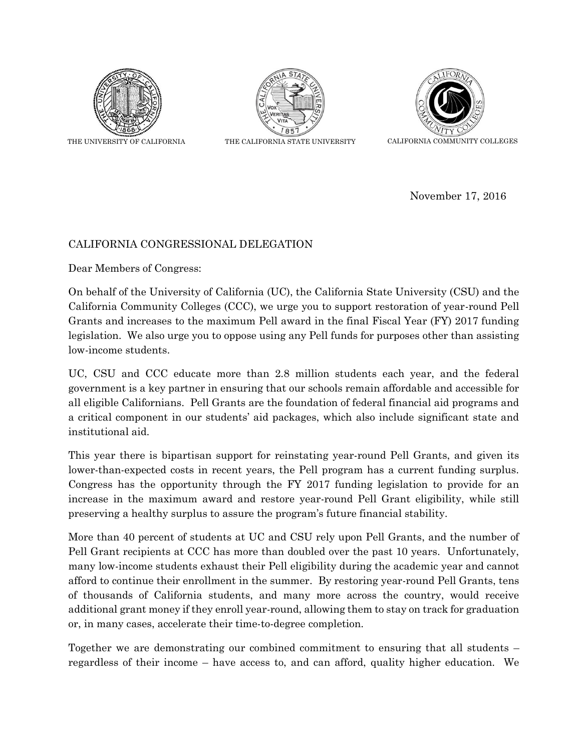

THE UNIVERSITY OF CALIFORNIA THE CALIFORNIA STATE UNIVERSITY CALIFORNIA COMMUNITY COLLEGES





November 17, 2016

## CALIFORNIA CONGRESSIONAL DELEGATION

Dear Members of Congress:

On behalf of the University of California (UC), the California State University (CSU) and the California Community Colleges (CCC), we urge you to support restoration of year-round Pell Grants and increases to the maximum Pell award in the final Fiscal Year (FY) 2017 funding legislation. We also urge you to oppose using any Pell funds for purposes other than assisting low-income students.

UC, CSU and CCC educate more than 2.8 million students each year, and the federal government is a key partner in ensuring that our schools remain affordable and accessible for all eligible Californians. Pell Grants are the foundation of federal financial aid programs and a critical component in our students' aid packages, which also include significant state and institutional aid.

This year there is bipartisan support for reinstating year-round Pell Grants, and given its lower-than-expected costs in recent years, the Pell program has a current funding surplus. Congress has the opportunity through the FY 2017 funding legislation to provide for an increase in the maximum award and restore year-round Pell Grant eligibility, while still preserving a healthy surplus to assure the program's future financial stability.

More than 40 percent of students at UC and CSU rely upon Pell Grants, and the number of Pell Grant recipients at CCC has more than doubled over the past 10 years. Unfortunately, many low-income students exhaust their Pell eligibility during the academic year and cannot afford to continue their enrollment in the summer. By restoring year-round Pell Grants, tens of thousands of California students, and many more across the country, would receive additional grant money if they enroll year-round, allowing them to stay on track for graduation or, in many cases, accelerate their time-to-degree completion.

Together we are demonstrating our combined commitment to ensuring that all students – regardless of their income – have access to, and can afford, quality higher education. We